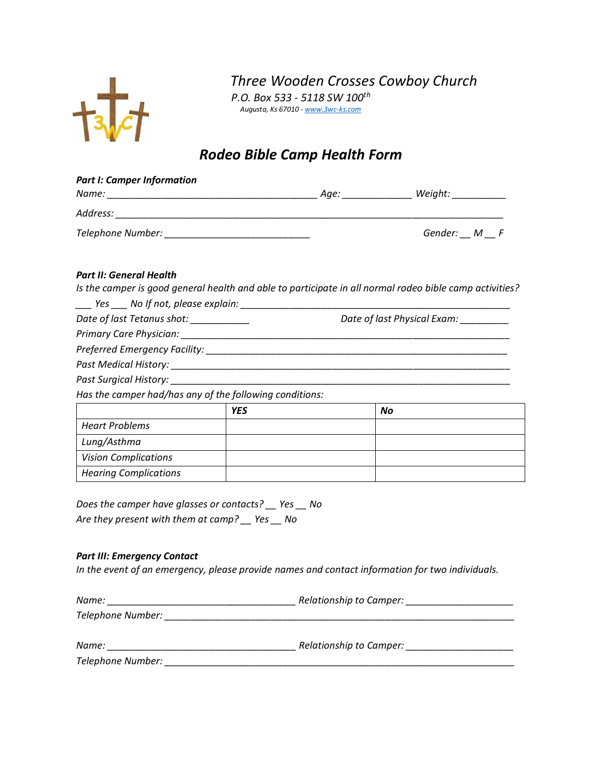

*Three Wooden Crosses Cowboy Church*

*P.O. Box 533 - 5118 SW 100th Augusta, Ks 67010 - [www.3wc-ks.com](http://www.3wc-ks.com/)*

## *Rodeo Bible Camp Health Form*

| <b>Part I: Camper Information</b>                                                                          |                                                                                                 |                                                                                                         |
|------------------------------------------------------------------------------------------------------------|-------------------------------------------------------------------------------------------------|---------------------------------------------------------------------------------------------------------|
|                                                                                                            |                                                                                                 |                                                                                                         |
|                                                                                                            |                                                                                                 |                                                                                                         |
|                                                                                                            |                                                                                                 | Gender: $M$ $F$                                                                                         |
| Part II: General Health                                                                                    |                                                                                                 |                                                                                                         |
|                                                                                                            |                                                                                                 | Is the camper is good general health and able to participate in all normal rodeo bible camp activities? |
|                                                                                                            | ____ Yes ____ No If not, please explain: _______________________________                        |                                                                                                         |
| Date of last Tetanus shot: __________                                                                      |                                                                                                 | Date of last Physical Exam: _________                                                                   |
|                                                                                                            |                                                                                                 |                                                                                                         |
|                                                                                                            |                                                                                                 |                                                                                                         |
|                                                                                                            |                                                                                                 |                                                                                                         |
|                                                                                                            |                                                                                                 |                                                                                                         |
| Has the camper had/has any of the following conditions:                                                    |                                                                                                 |                                                                                                         |
|                                                                                                            | <b>YES</b>                                                                                      | No                                                                                                      |
| <b>Heart Problems</b>                                                                                      |                                                                                                 |                                                                                                         |
| Lung/Asthma                                                                                                |                                                                                                 |                                                                                                         |
| <b>Vision Complications</b>                                                                                |                                                                                                 |                                                                                                         |
| <b>Hearing Complications</b>                                                                               |                                                                                                 |                                                                                                         |
| Does the camper have glasses or contacts? __ Yes __ No<br>Are they present with them at camp? __ Yes __ No |                                                                                                 |                                                                                                         |
| <b>Part III: Emergency Contact</b>                                                                         | In the event of an emergency, please provide names and contact information for two individuals. |                                                                                                         |
|                                                                                                            |                                                                                                 |                                                                                                         |
|                                                                                                            |                                                                                                 |                                                                                                         |

| Name:             | Relationship to Camper: |
|-------------------|-------------------------|
| Telephone Number: |                         |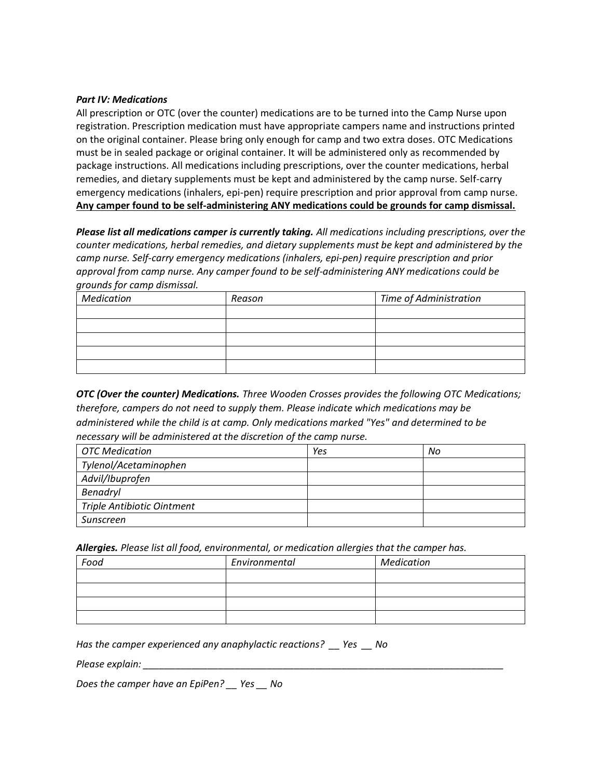## *Part IV: Medications*

All prescription or OTC (over the counter) medications are to be turned into the Camp Nurse upon registration. Prescription medication must have appropriate campers name and instructions printed on the original container. Please bring only enough for camp and two extra doses. OTC Medications must be in sealed package or original container. It will be administered only as recommended by package instructions. All medications including prescriptions, over the counter medications, herbal remedies, and dietary supplements must be kept and administered by the camp nurse. Self-carry emergency medications (inhalers, epi-pen) require prescription and prior approval from camp nurse. **Any camper found to be self-administering ANY medications could be grounds for camp dismissal.**

*Please list all medications camper is currently taking. All medications including prescriptions, over the counter medications, herbal remedies, and dietary supplements must be kept and administered by the camp nurse. Self-carry emergency medications (inhalers, epi-pen) require prescription and prior approval from camp nurse. Any camper found to be self-administering ANY medications could be grounds for camp dismissal.*

| Medication | Reason | Time of Administration |  |
|------------|--------|------------------------|--|
|            |        |                        |  |
|            |        |                        |  |
|            |        |                        |  |
|            |        |                        |  |
|            |        |                        |  |

*OTC (Over the counter) Medications. Three Wooden Crosses provides the following OTC Medications; therefore, campers do not need to supply them. Please indicate which medications may be administered while the child is at camp. Only medications marked "Yes" and determined to be necessary will be administered at the discretion of the camp nurse.*

| OTC Medication             | Yes | No |
|----------------------------|-----|----|
| Tylenol/Acetaminophen      |     |    |
| Advil/Ibuprofen            |     |    |
| Benadryl                   |     |    |
| Triple Antibiotic Ointment |     |    |
| Sunscreen                  |     |    |

*Allergies. Please list all food, environmental, or medication allergies that the camper has.*

| Food | Environmental | Medication |
|------|---------------|------------|
|      |               |            |
|      |               |            |
|      |               |            |
|      |               |            |

*Has the camper experienced any anaphylactic reactions? \_\_ Yes \_\_ No* 

*Please explain:* 

*Does the camper have an EpiPen? \_\_ Yes \_\_ No*